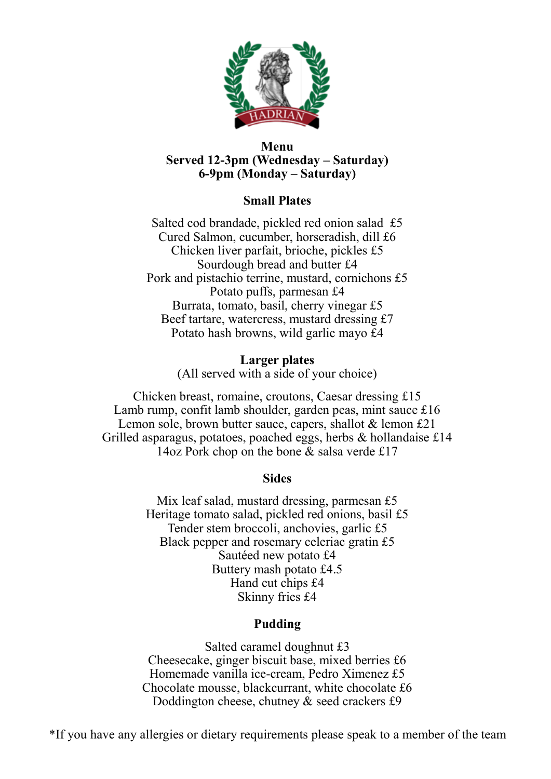

#### **Menu Served 12-3pm (Wednesday – Saturday) 6-9pm (Monday – Saturday)**

# **Small Plates**

Salted cod brandade, pickled red onion salad £5 Cured Salmon, cucumber, horseradish, dill £6 Chicken liver parfait, brioche, pickles £5 Sourdough bread and butter £4 Pork and pistachio terrine, mustard, cornichons £5 Potato puffs, parmesan £4 Burrata, tomato, basil, cherry vinegar £5 Beef tartare, watercress, mustard dressing £7 Potato hash browns, wild garlic mayo £4

### **Larger plates**

(All served with a side of your choice)

Chicken breast, romaine, croutons, Caesar dressing £15 Lamb rump, confit lamb shoulder, garden peas, mint sauce £16 Lemon sole, brown butter sauce, capers, shallot & lemon £21 Grilled asparagus, potatoes, poached eggs, herbs & hollandaise £14 14oz Pork chop on the bone & salsa verde £17

### **Sides**

Mix leaf salad, mustard dressing, parmesan £5 Heritage tomato salad, pickled red onions, basil £5 Tender stem broccoli, anchovies, garlic £5 Black pepper and rosemary celeriac gratin £5 Sautéed new potato £4 Buttery mash potato £4.5 Hand cut chips £4 Skinny fries £4

### **Pudding**

Salted caramel doughnut £3 Cheesecake, ginger biscuit base, mixed berries £6 Homemade vanilla ice-cream, Pedro Ximenez £5 Chocolate mousse, blackcurrant, white chocolate £6 Doddington cheese, chutney & seed crackers £9

\*If you have any allergies or dietary requirements please speak to a member of the team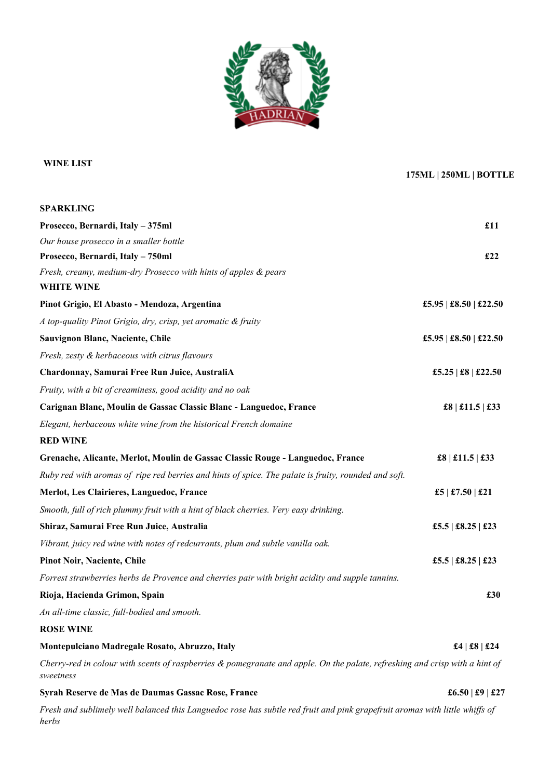

#### **WINE LIST**

#### **175ML | 250ML | BOTTLE**

| <b>SPARKLING</b>                                                                                                                         |                        |
|------------------------------------------------------------------------------------------------------------------------------------------|------------------------|
| Prosecco, Bernardi, Italy - 375ml                                                                                                        | £11                    |
| Our house prosecco in a smaller bottle                                                                                                   |                        |
| Prosecco, Bernardi, Italy - 750ml                                                                                                        | £22                    |
| Fresh, creamy, medium-dry Prosecco with hints of apples & pears                                                                          |                        |
| <b>WHITE WINE</b>                                                                                                                        |                        |
| Pinot Grigio, El Abasto - Mendoza, Argentina                                                                                             | £5.95   £8.50   £22.50 |
| A top-quality Pinot Grigio, dry, crisp, yet aromatic & fruity                                                                            |                        |
| Sauvignon Blanc, Naciente, Chile                                                                                                         | £5.95   £8.50   £22.50 |
| Fresh, zesty & herbaceous with citrus flavours                                                                                           |                        |
| Chardonnay, Samurai Free Run Juice, AustraliA                                                                                            | £5.25   £8   £22.50    |
| Fruity, with a bit of creaminess, good acidity and no oak                                                                                |                        |
| Carignan Blanc, Moulin de Gassac Classic Blanc - Languedoc, France                                                                       | £8   £11.5   £33       |
| Elegant, herbaceous white wine from the historical French domaine                                                                        |                        |
| <b>RED WINE</b>                                                                                                                          |                        |
| Grenache, Alicante, Merlot, Moulin de Gassac Classic Rouge - Languedoc, France                                                           | £8   £11.5   £33       |
| Ruby red with aromas of ripe red berries and hints of spice. The palate is fruity, rounded and soft.                                     |                        |
| Merlot, Les Clairieres, Languedoc, France                                                                                                | £5   £7.50   £21       |
| Smooth, full of rich plummy fruit with a hint of black cherries. Very easy drinking.                                                     |                        |
| Shiraz, Samurai Free Run Juice, Australia                                                                                                | £5.5   £8.25   £23     |
| Vibrant, juicy red wine with notes of redcurrants, plum and subtle vanilla oak.                                                          |                        |
| <b>Pinot Noir, Naciente, Chile</b>                                                                                                       | £5.5   £8.25   £23     |
| Forrest strawberries herbs de Provence and cherries pair with bright acidity and supple tannins.                                         |                        |
| Rioja, Hacienda Grimon, Spain                                                                                                            | £30                    |
| An all-time classic, full-bodied and smooth.                                                                                             |                        |
| <b>ROSE WINE</b>                                                                                                                         |                        |
| Montepulciano Madregale Rosato, Abruzzo, Italy                                                                                           | £4   £8   £24          |
| Cherry-red in colour with scents of raspberries & pomegranate and apple. On the palate, refreshing and crisp with a hint of<br>sweetness |                        |
| Syrah Reserve de Mas de Daumas Gassac Rose, France                                                                                       | £6.50   £9   £27       |
| Fresh and sublimely well balanced this Languedoc rose has subtle red fruit and pink grapefruit aromas with little whiffs of<br>herbs     |                        |